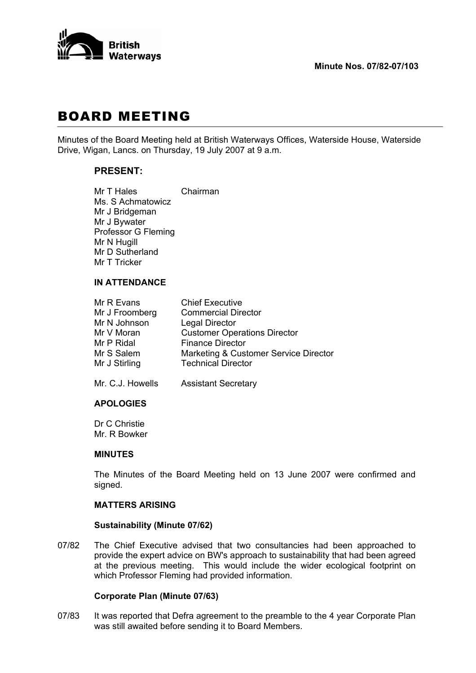

# BOARD MEETING

Minutes of the Board Meeting held at British Waterways Offices, Waterside House, Waterside Drive, Wigan, Lancs. on Thursday, 19 July 2007 at 9 a.m.

# **PRESENT:**

Mr T Hales Chairman Ms. S Achmatowicz Mr J Bridgeman Mr J Bywater Professor G Fleming Mr N Hugill Mr D Sutherland Mr T Tricker

## **IN ATTENDANCE**

| Mr R Evans     | <b>Chief Executive</b>                |
|----------------|---------------------------------------|
| Mr J Froomberg | <b>Commercial Director</b>            |
| Mr N Johnson   | <b>Legal Director</b>                 |
| Mr V Moran     | <b>Customer Operations Director</b>   |
| Mr P Ridal     | <b>Finance Director</b>               |
| Mr S Salem     | Marketing & Customer Service Director |
| Mr J Stirling  | <b>Technical Director</b>             |
|                |                                       |

Mr. C.J. Howells Assistant Secretary

#### **APOLOGIES**

 Dr C Christie Mr. R Bowker

#### **MINUTES**

 The Minutes of the Board Meeting held on 13 June 2007 were confirmed and signed.

### **MATTERS ARISING**

#### **Sustainability (Minute 07/62)**

07/82 The Chief Executive advised that two consultancies had been approached to provide the expert advice on BW's approach to sustainability that had been agreed at the previous meeting. This would include the wider ecological footprint on which Professor Fleming had provided information.

#### **Corporate Plan (Minute 07/63)**

07/83 It was reported that Defra agreement to the preamble to the 4 year Corporate Plan was still awaited before sending it to Board Members.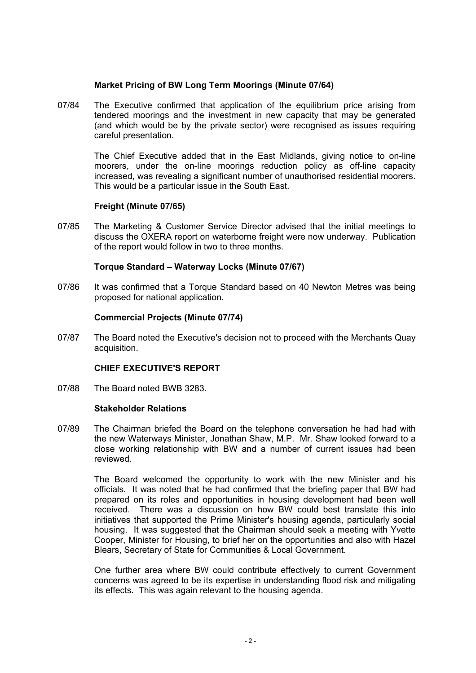## **Market Pricing of BW Long Term Moorings (Minute 07/64)**

07/84 The Executive confirmed that application of the equilibrium price arising from tendered moorings and the investment in new capacity that may be generated (and which would be by the private sector) were recognised as issues requiring careful presentation.

> The Chief Executive added that in the East Midlands, giving notice to on-line moorers, under the on-line moorings reduction policy as off-line capacity increased, was revealing a significant number of unauthorised residential moorers. This would be a particular issue in the South East.

## **Freight (Minute 07/65)**

07/85 The Marketing & Customer Service Director advised that the initial meetings to discuss the OXERA report on waterborne freight were now underway. Publication of the report would follow in two to three months.

#### **Torque Standard – Waterway Locks (Minute 07/67)**

07/86 It was confirmed that a Torque Standard based on 40 Newton Metres was being proposed for national application.

## **Commercial Projects (Minute 07/74)**

07/87 The Board noted the Executive's decision not to proceed with the Merchants Quay acquisition.

#### **CHIEF EXECUTIVE'S REPORT**

07/88 The Board noted BWB 3283.

#### **Stakeholder Relations**

07/89 The Chairman briefed the Board on the telephone conversation he had had with the new Waterways Minister, Jonathan Shaw, M.P. Mr. Shaw looked forward to a close working relationship with BW and a number of current issues had been reviewed.

> The Board welcomed the opportunity to work with the new Minister and his officials. It was noted that he had confirmed that the briefing paper that BW had prepared on its roles and opportunities in housing development had been well received. There was a discussion on how BW could best translate this into initiatives that supported the Prime Minister's housing agenda, particularly social housing. It was suggested that the Chairman should seek a meeting with Yvette Cooper, Minister for Housing, to brief her on the opportunities and also with Hazel Blears, Secretary of State for Communities & Local Government.

> One further area where BW could contribute effectively to current Government concerns was agreed to be its expertise in understanding flood risk and mitigating its effects. This was again relevant to the housing agenda.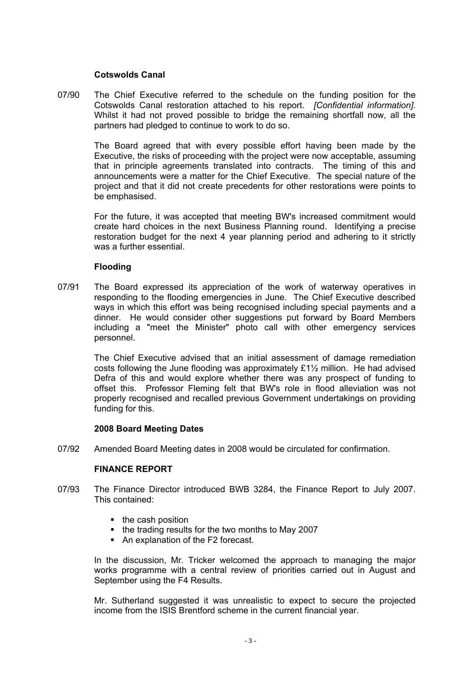### **Cotswolds Canal**

07/90 The Chief Executive referred to the schedule on the funding position for the Cotswolds Canal restoration attached to his report. *[Confidential information].* Whilst it had not proved possible to bridge the remaining shortfall now, all the partners had pledged to continue to work to do so.

> The Board agreed that with every possible effort having been made by the Executive, the risks of proceeding with the project were now acceptable, assuming that in principle agreements translated into contracts. The timing of this and announcements were a matter for the Chief Executive. The special nature of the project and that it did not create precedents for other restorations were points to be emphasised.

> For the future, it was accepted that meeting BW's increased commitment would create hard choices in the next Business Planning round. Identifying a precise restoration budget for the next 4 year planning period and adhering to it strictly was a further essential.

## **Flooding**

07/91 The Board expressed its appreciation of the work of waterway operatives in responding to the flooding emergencies in June. The Chief Executive described ways in which this effort was being recognised including special payments and a dinner. He would consider other suggestions put forward by Board Members including a "meet the Minister" photo call with other emergency services personnel.

> The Chief Executive advised that an initial assessment of damage remediation costs following the June flooding was approximately £1½ million. He had advised Defra of this and would explore whether there was any prospect of funding to offset this. Professor Fleming felt that BW's role in flood alleviation was not properly recognised and recalled previous Government undertakings on providing funding for this.

#### **2008 Board Meeting Dates**

07/92 Amended Board Meeting dates in 2008 would be circulated for confirmation.

# **FINANCE REPORT**

- 07/93 The Finance Director introduced BWB 3284, the Finance Report to July 2007. This contained:
	- $\blacksquare$  the cash position
	- the trading results for the two months to May 2007
	- An explanation of the F2 forecast.

 In the discussion, Mr. Tricker welcomed the approach to managing the major works programme with a central review of priorities carried out in August and September using the F4 Results.

 Mr. Sutherland suggested it was unrealistic to expect to secure the projected income from the ISIS Brentford scheme in the current financial year.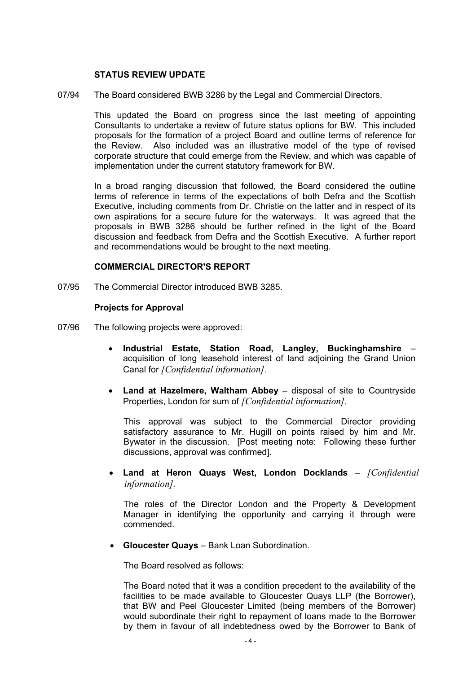## **STATUS REVIEW UPDATE**

07/94 The Board considered BWB 3286 by the Legal and Commercial Directors.

 This updated the Board on progress since the last meeting of appointing Consultants to undertake a review of future status options for BW. This included proposals for the formation of a project Board and outline terms of reference for the Review. Also included was an illustrative model of the type of revised corporate structure that could emerge from the Review, and which was capable of implementation under the current statutory framework for BW.

 In a broad ranging discussion that followed, the Board considered the outline terms of reference in terms of the expectations of both Defra and the Scottish Executive, including comments from Dr. Christie on the latter and in respect of its own aspirations for a secure future for the waterways. It was agreed that the proposals in BWB 3286 should be further refined in the light of the Board discussion and feedback from Defra and the Scottish Executive. A further report and recommendations would be brought to the next meeting.

## **COMMERCIAL DIRECTOR'S REPORT**

07/95 The Commercial Director introduced BWB 3285.

## **Projects for Approval**

- 07/96 The following projects were approved:
	- **Industrial Estate, Station Road, Langley, Buckinghamshire** acquisition of long leasehold interest of land adjoining the Grand Union Canal for *[Confidential information].*
	- **Land at Hazelmere, Waltham Abbey** disposal of site to Countryside Properties, London for sum of *[Confidential information].*

 This approval was subject to the Commercial Director providing satisfactory assurance to Mr. Hugill on points raised by him and Mr. Bywater in the discussion. [Post meeting note: Following these further discussions, approval was confirmed].

• **Land at Heron Quays West, London Docklands** – *[Confidential information].*

 The roles of the Director London and the Property & Development Manager in identifying the opportunity and carrying it through were commended.

• **Gloucester Quays** – Bank Loan Subordination.

The Board resolved as follows:

 The Board noted that it was a condition precedent to the availability of the facilities to be made available to Gloucester Quays LLP (the Borrower), that BW and Peel Gloucester Limited (being members of the Borrower) would subordinate their right to repayment of loans made to the Borrower by them in favour of all indebtedness owed by the Borrower to Bank of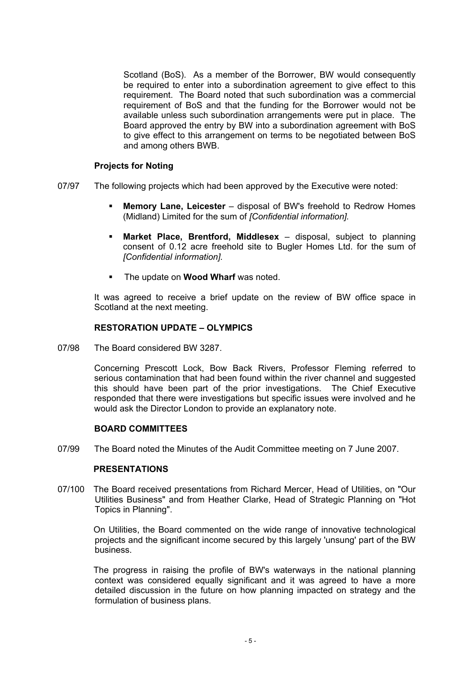Scotland (BoS). As a member of the Borrower, BW would consequently be required to enter into a subordination agreement to give effect to this requirement. The Board noted that such subordination was a commercial requirement of BoS and that the funding for the Borrower would not be available unless such subordination arrangements were put in place. The Board approved the entry by BW into a subordination agreement with BoS to give effect to this arrangement on terms to be negotiated between BoS and among others BWB.

## **Projects for Noting**

- 07/97 The following projects which had been approved by the Executive were noted:
	- **Memory Lane, Leicester** disposal of BW's freehold to Redrow Homes (Midland) Limited for the sum of *[Confidential information].*
	- **Market Place, Brentford, Middlesex** disposal, subject to planning consent of 0.12 acre freehold site to Bugler Homes Ltd. for the sum of *[Confidential information].*
	- The update on **Wood Wharf** was noted.

 It was agreed to receive a brief update on the review of BW office space in Scotland at the next meeting.

## **RESTORATION UPDATE – OLYMPICS**

07/98 The Board considered BW 3287.

 Concerning Prescott Lock, Bow Back Rivers, Professor Fleming referred to serious contamination that had been found within the river channel and suggested this should have been part of the prior investigations. The Chief Executive responded that there were investigations but specific issues were involved and he would ask the Director London to provide an explanatory note.

#### **BOARD COMMITTEES**

07/99 The Board noted the Minutes of the Audit Committee meeting on 7 June 2007.

#### **PRESENTATIONS**

07/100 The Board received presentations from Richard Mercer, Head of Utilities, on "Our Utilities Business" and from Heather Clarke, Head of Strategic Planning on "Hot Topics in Planning".

> On Utilities, the Board commented on the wide range of innovative technological projects and the significant income secured by this largely 'unsung' part of the BW business.

> The progress in raising the profile of BW's waterways in the national planning context was considered equally significant and it was agreed to have a more detailed discussion in the future on how planning impacted on strategy and the formulation of business plans.